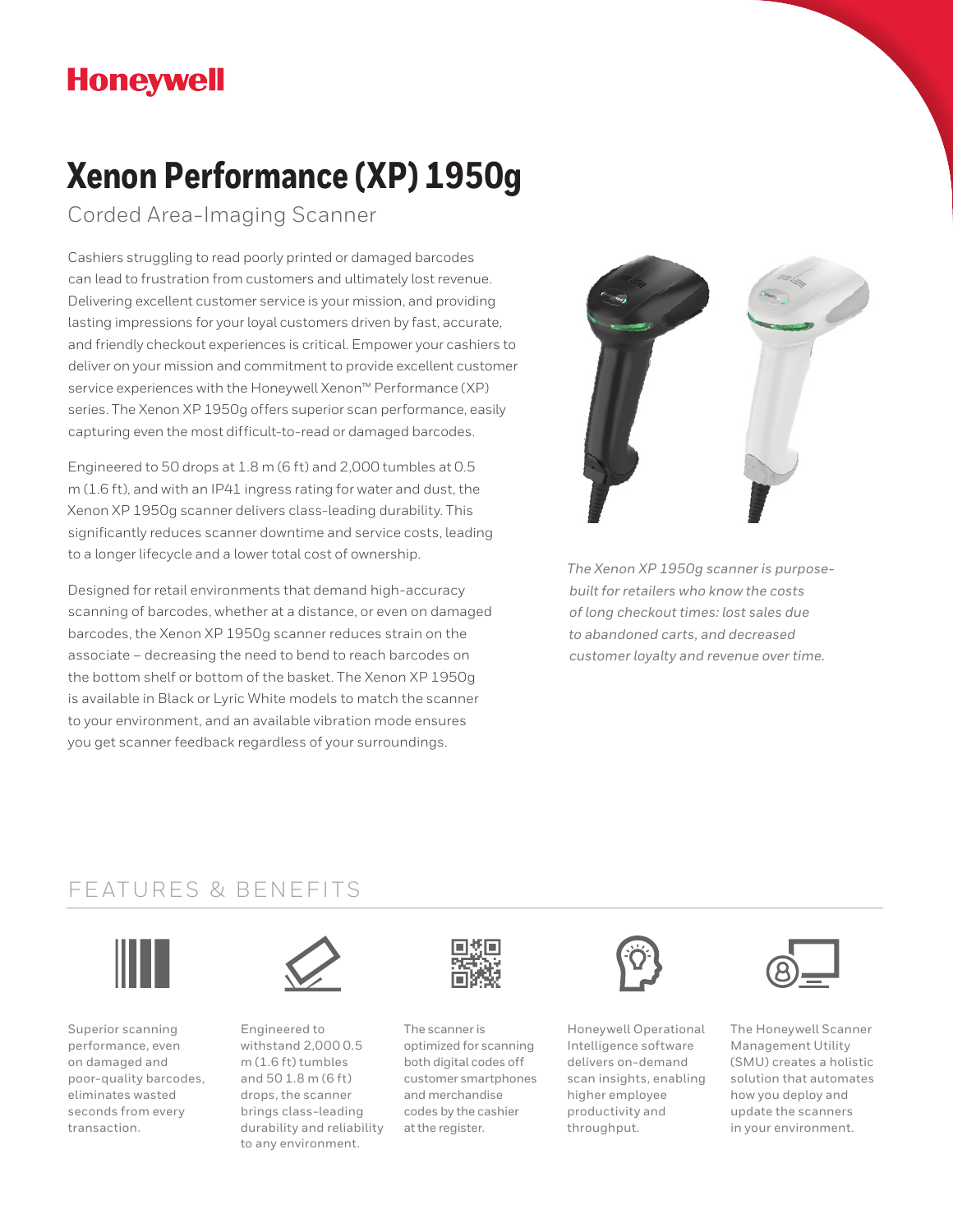## **Honeywell**

# **Xenon Performance (XP) 1950g**

Corded Area-Imaging Scanner

Cashiers struggling to read poorly printed or damaged barcodes can lead to frustration from customers and ultimately lost revenue. Delivering excellent customer service is your mission, and providing lasting impressions for your loyal customers driven by fast, accurate, and friendly checkout experiences is critical. Empower your cashiers to deliver on your mission and commitment to provide excellent customer service experiences with the Honeywell Xenon™ Performance (XP) series. The Xenon XP 1950g offers superior scan performance, easily capturing even the most difficult-to-read or damaged barcodes.

Engineered to 50 drops at 1.8 m (6 ft) and 2,000 tumbles at 0.5 m (1.6 ft), and with an IP41 ingress rating for water and dust, the Xenon XP 1950g scanner delivers class-leading durability. This significantly reduces scanner downtime and service costs, leading to a longer lifecycle and a lower total cost of ownership.

Designed for retail environments that demand high-accuracy scanning of barcodes, whether at a distance, or even on damaged barcodes, the Xenon XP 1950g scanner reduces strain on the associate – decreasing the need to bend to reach barcodes on the bottom shelf or bottom of the basket. The Xenon XP 1950g is available in Black or Lyric White models to match the scanner to your environment, and an available vibration mode ensures you get scanner feedback regardless of your surroundings.



*The Xenon XP 1950g scanner is purposebuilt for retailers who know the costs of long checkout times: lost sales due to abandoned carts, and decreased customer loyalty and revenue over time.*

### FEATURES & BENEFITS



Superior scanning performance, even on damaged and poor-quality barcodes, eliminates wasted seconds from every transaction.



Engineered to withstand 2,000 0.5 m (1.6 ft) tumbles and 50 1.8 m (6 ft) drops, the scanner brings class-leading durability and reliability to any environment.



The scanner is optimized for scanning both digital codes off customer smartphones and merchandise codes by the cashier at the register.



Honeywell Operational Intelligence software delivers on-demand scan insights, enabling higher employee productivity and throughput.



The Honeywell Scanner Management Utility (SMU) creates a holistic solution that automates how you deploy and update the scanners in your environment.